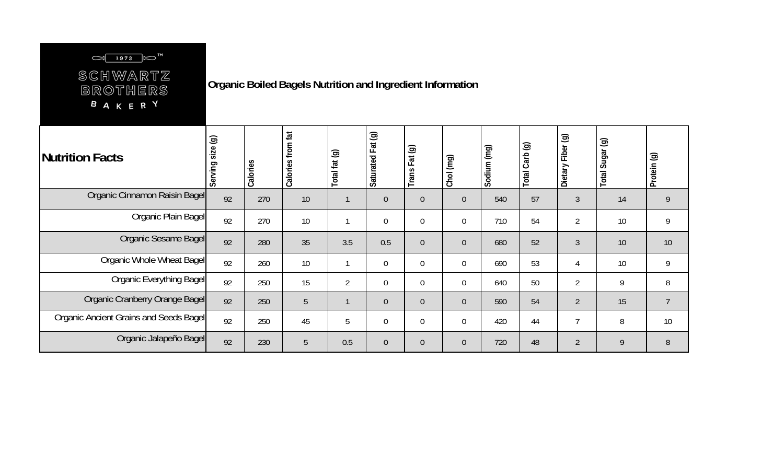## $\left[\begin{array}{c|c} \hline 1973 & \mbox{cm} \end{array}\right] \left[\begin{array}{c} \hline \mbox{cm} \end{array}\right]^{TM}$

SCHWARTZ BROTHERS **BAKERY** 

**Organic Boiled Bagels Nutrition and Ingredient Information**

| Nutrition Facts                        | ම<br>size<br>Serving | Calories | fat<br>from<br>Calories | Total fat (g)  | Saturated Fat (g) | $\circledcirc$<br>Fat<br>Trans | Chol (mg)      | Sodium (mg) | Total Carb (g) | Fiber (g)<br>Dietary I | $\odot$<br>Sugar<br>Total | Protein (g)    |
|----------------------------------------|----------------------|----------|-------------------------|----------------|-------------------|--------------------------------|----------------|-------------|----------------|------------------------|---------------------------|----------------|
| Organic Cinnamon Raisin Bagel          | 92                   | 270      | 10                      |                | $\theta$          | $\overline{0}$                 | $\overline{0}$ | 540         | 57             | 3                      | 14                        | 9              |
| Organic Plain Bagel                    | 92                   | 270      | 10                      |                | $\mathbf 0$       | 0                              | $\overline{0}$ | 710         | 54             | $\overline{2}$         | 10                        | 9              |
| Organic Sesame Bagel                   | 92                   | 280      | 35                      | 3.5            | 0.5               | $\overline{0}$                 | $\overline{0}$ | 680         | 52             | $\mathfrak{Z}$         | 10                        | 10             |
| Organic Whole Wheat Bagel              | 92                   | 260      | 10                      |                | $\mathbf 0$       | 0                              | $\overline{0}$ | 690         | 53             | 4                      | 10                        | 9              |
| <b>Organic Everything Bagel</b>        | 92                   | 250      | 15                      | $\overline{2}$ | $\mathbf 0$       | $\mathbf 0$                    | $\overline{0}$ | 640         | 50             | $\overline{2}$         | 9                         | 8              |
| Organic Cranberry Orange Bagel         | 92                   | 250      | 5                       |                | $\overline{0}$    | $\overline{0}$                 | $\overline{0}$ | 590         | 54             | $\overline{2}$         | 15                        | $\overline{7}$ |
| Organic Ancient Grains and Seeds Bagel | 92                   | 250      | 45                      | 5              | $\overline{0}$    | 0                              | $\overline{0}$ | 420         | 44             | 7                      | 8                         | 10             |
| Organic Jalapeño Bagel                 | 92                   | 230      | 5                       | 0.5            | $\theta$          | 0                              | $\overline{0}$ | 720         | 48             | $\overline{2}$         | 9                         | $8\,$          |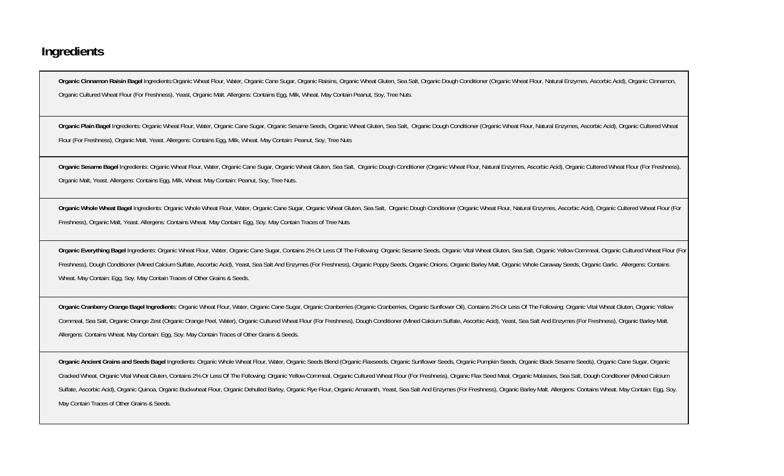## **Ingredients**

Organic Cinnamon Raisin Bagel Ingredients:Organic Wheat Flour, Water, Organic Cane Sugar, Organic Raisins, Organic Wheat Gluten, Sea Salt, Organic Dough Conditioner (Organic Wheat Flour, Natural Enzymes, Ascorbic Acid), Or Organic Cultured Wheat Flour (For Freshness), Yeast, Organic Malt. Allergens: Contains Egg, Milk, Wheat. May Contain Peanut, Soy, Tree Nuts.

Organic Plain Bagel Ingredients: Organic Wheat Flour, Water, Organic Cane Sugar, Organic Sesame Seeds, Organic Wheat Gluten, Sea Salt, Organic Dough Conditioner (Organic Wheat Flour, Natural Enzymes, Ascorbic Acid), Organi Flour (For Freshness), Organic Malt, Yeast. Allergens: Contains Egg, Milk, Wheat. May Contain: Peanut, Soy, Tree Nuts

Organic Sesame Bagel Ingredients: Organic Wheat Flour, Water, Organic Cane Sugar, Organic Wheat Gluten, Sea Salt, Organic Dough Conditioner (Organic Wheat Flour, Natural Enzymes, Ascorbic Acid), Organic Cultered Wheat Flou Organic Malt, Yeast. Allergens: Contains Egg, Milk, Wheat. May Contain: Peanut, Soy, Tree Nuts.

Organic Whole Wheat Bagel Ingredients: Organic Whole Wheat Flour, Water, Organic Cane Sugar, Organic Wheat Gluten, Sea Salt, Organic Dough Conditioner (Organic Wheat Flour, Natural Enzymes, Ascorbic Acid), Organic Cultered Freshness), Organic Malt, Yeast. Allergens: Contains Wheat. May Contain: Egg, Soy. May Contain Traces of Tree Nuts

Organic Everything Bagel Ingredients: Organic Wheat Flour, Water, Organic Cane Sugar, Contains 2% Or Less Of The Following: Organic Sesame Seeds, Organic Vital Wheat Gluten, Sea Salt, Organic Yellow Cornmeal, Organic Cultu Freshness), Dough Conditioner (Mined Calcium Sulfate, Ascorbic Acid), Yeast, Sea Salt And Enzymes (For Freshness), Organic Poppy Seeds, Organic Onions, Organic Barley Malt, Organic Whole Caraway Seeds, Organic Garlic. Alle Wheat. May Contain: Egg, Soy. May Contain Traces of Other Grains & Seeds.

Organic Cranberry Orange Bagel Ingredients: Organic Wheat Flour, Water, Organic Cane Sugar, Organic Cranberries (Organic Cranberries, Organic Sunflower Oil), Contains 2% Or Less Of The Following: Organic Vital Wheat Gluten Cornmeal, Sea Salt, Organic Orange Zest (Organic Orange Peel, Water), Organic Cultured Wheat Flour (For Freshness), Dough Conditioner (Mined Calcium Sulfate, Ascorbic Acid), Yeast, Sea Salt And Enzymes (For Freshness), Org Allergens: Contains Wheat. May Contain: Egg, Soy. May Contain Traces of Other Grains & Seeds.

Organic Ancient Grains and Seeds Bagel Ingredients: Organic Whole Wheat Flour, Water, Organic Seeds Blend (Organic Flaxseeds, Organic Sunflower Seeds, Organic Pumpkin Seeds, Organic Black Sesame Seeds), Organic Cane Sugar, Cracked Wheat, Organic Vital Wheat Gluten, Contains 2% Or Less Of The Following: Organic Yellow Cornmeal, Organic Cultured Wheat Flour (For Freshness), Organic Flax Seed Meal, Organic Molasses, Sea Salt, Dough Conditioner Sulfate, Ascorbic Acid), Organic Quinoa, Organic Buckwheat Flour, Organic Dehulled Barley, Organic Rye Flour, Organic Amaranth, Yeast, Sea Salt And Enzymes (For Freshness), Organic Barley Malt. Allergens: Contains Wheat. M May Contain Traces of Other Grains & Seeds.